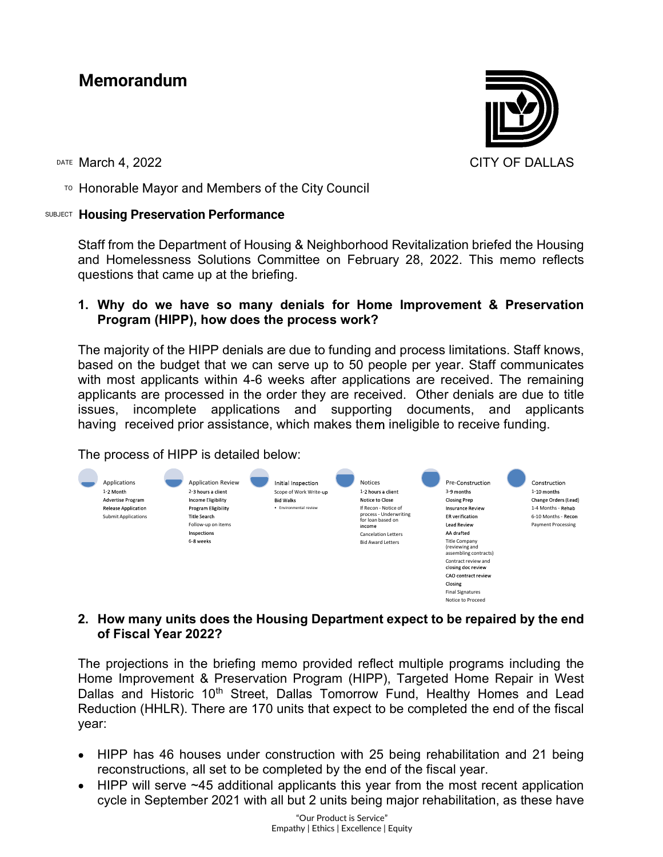# Memorandum



TO Honorable Mayor and Members of the City Council

### **SUBJECT** Housing Preservation Performance

Staff from the Department of Housing & Neighborhood Revitalization briefed the Housing and Homelessness Solutions Committee on February 28, 2022. This memo reflects questions that came up at the briefing.

# 1. Why do we have so many denials for Home Improvement & Preservation Program (HIPP), how does the process work?

The majority of the HIPP denials are due to funding and process limitations. Staff knows, based on the budget that we can serve up to 50 people per year. Staff communicates with most applicants within 4-6 weeks after applications are received. The remaining applicants are processed in the order they are received. Other denials are due to title issues, incomplete applications and supporting documents, and applicants having received prior assistance, which makes them ineligible to receive funding.

The process of HIPP is detailed below:



# 2. How many units does the Housing Department expect to be repaired by the end of Fiscal Year 2022?

The projections in the briefing memo provided reflect multiple programs including the Home Improvement & Preservation Program (HIPP), Targeted Home Repair in West Dallas and Historic 10<sup>th</sup> Street, Dallas Tomorrow Fund, Healthy Homes and Lead Reduction (HHLR). There are 170 units that expect to be completed the end of the fiscal year:

- HIPP has 46 houses under construction with 25 being rehabilitation and 21 being reconstructions, all set to be completed by the end of the fiscal year.
- HIPP will serve ~45 additional applicants this year from the most recent application cycle in September 2021 with all but 2 units being major rehabilitation, as these have